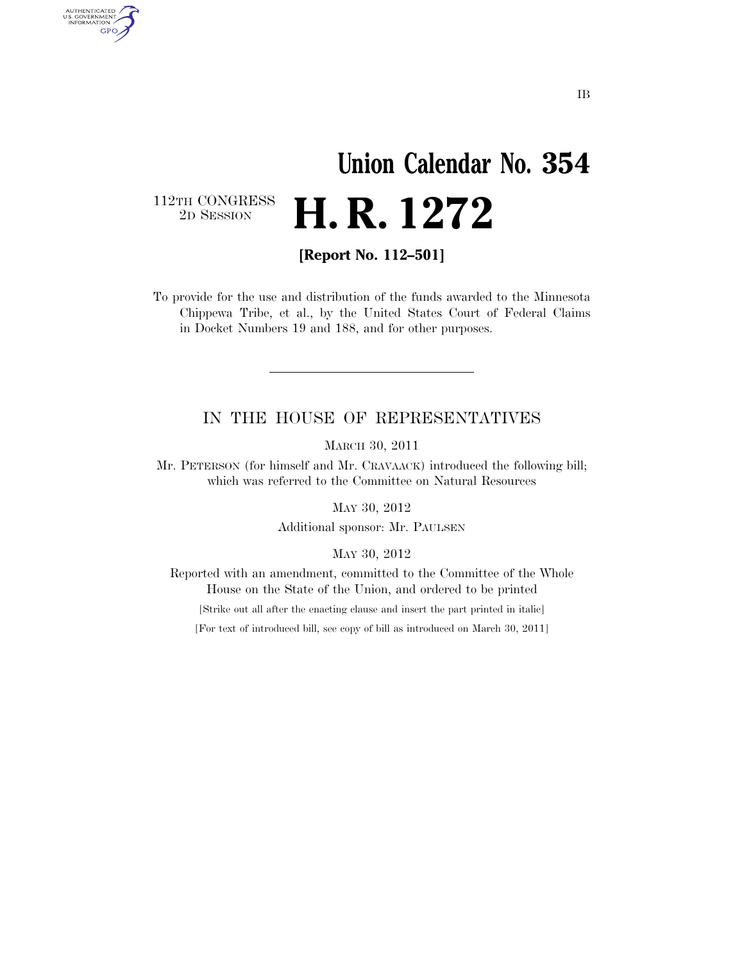# **Union Calendar No. 354**  2D SESSION **H. R. 1272**

112TH CONGRESS<br>2D SESSION

AUTHENTICATED<br>U.S. GOVERNMENT<br>INFORMATION GPO

**[Report No. 112–501]** 

To provide for the use and distribution of the funds awarded to the Minnesota Chippewa Tribe, et al., by the United States Court of Federal Claims in Docket Numbers 19 and 188, and for other purposes.

### IN THE HOUSE OF REPRESENTATIVES

MARCH 30, 2011

Mr. PETERSON (for himself and Mr. CRAVAACK) introduced the following bill; which was referred to the Committee on Natural Resources

MAY 30, 2012

Additional sponsor: Mr. PAULSEN

MAY 30, 2012

Reported with an amendment, committed to the Committee of the Whole House on the State of the Union, and ordered to be printed

[Strike out all after the enacting clause and insert the part printed in italic]

[For text of introduced bill, see copy of bill as introduced on March 30, 2011]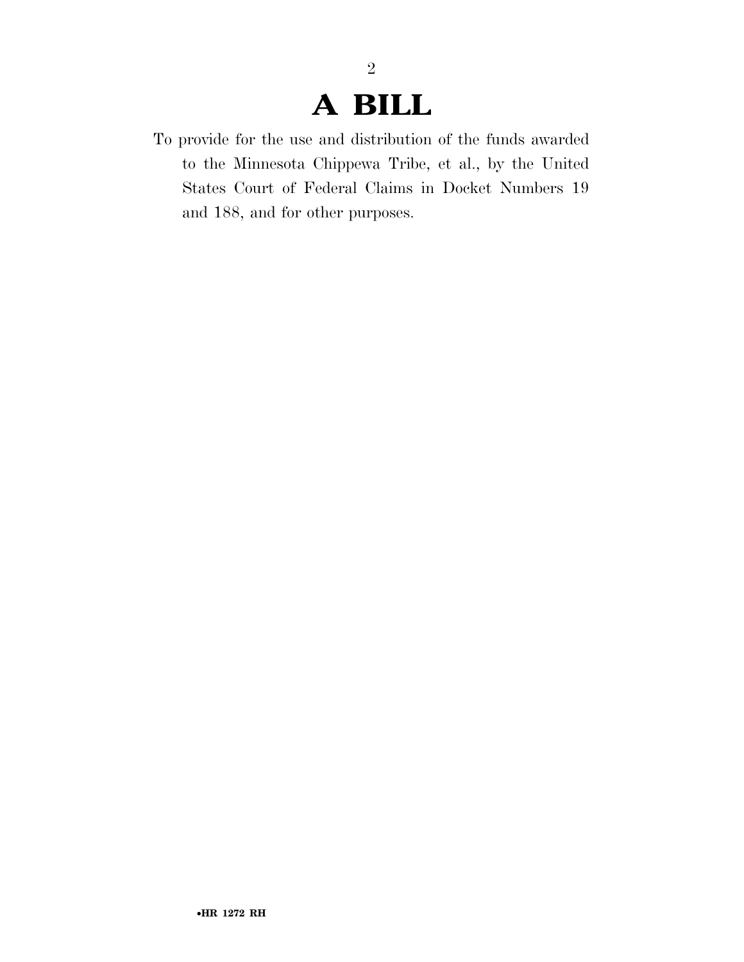### **A BILL**

2

To provide for the use and distribution of the funds awarded to the Minnesota Chippewa Tribe, et al., by the United States Court of Federal Claims in Docket Numbers 19 and 188, and for other purposes.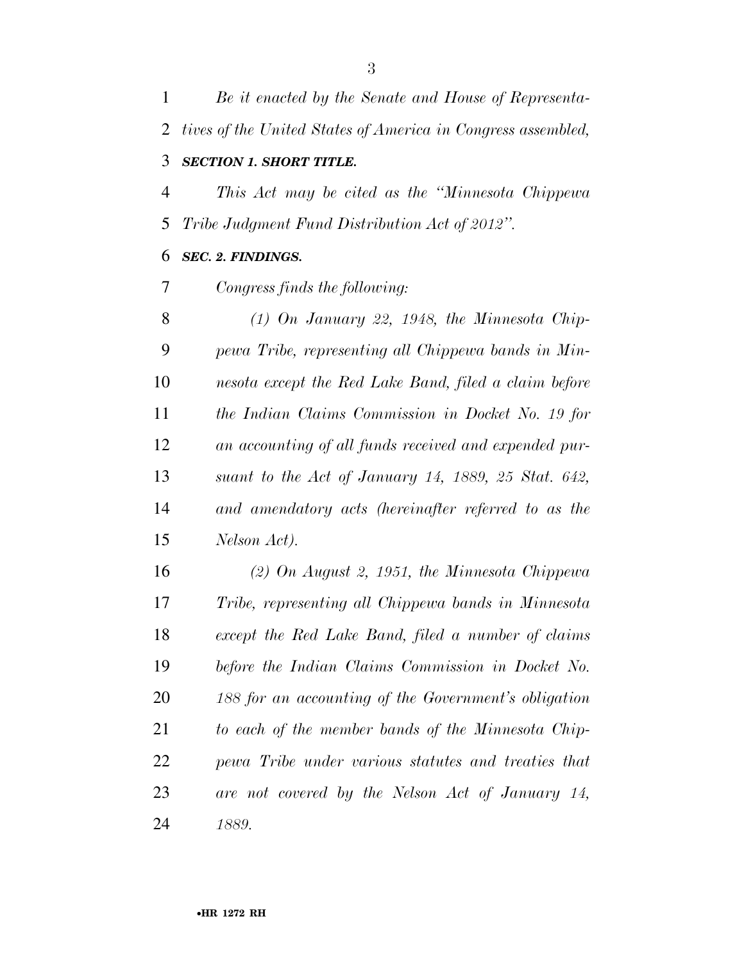*Be it enacted by the Senate and House of Representa- tives of the United States of America in Congress assembled, SECTION 1. SHORT TITLE. This Act may be cited as the ''Minnesota Chippewa Tribe Judgment Fund Distribution Act of 2012''. SEC. 2. FINDINGS. Congress finds the following: (1) On January 22, 1948, the Minnesota Chip-*

 *pewa Tribe, representing all Chippewa bands in Min- nesota except the Red Lake Band, filed a claim before the Indian Claims Commission in Docket No. 19 for an accounting of all funds received and expended pur- suant to the Act of January 14, 1889, 25 Stat. 642, and amendatory acts (hereinafter referred to as the Nelson Act).* 

 *(2) On August 2, 1951, the Minnesota Chippewa Tribe, representing all Chippewa bands in Minnesota except the Red Lake Band, filed a number of claims before the Indian Claims Commission in Docket No. 188 for an accounting of the Government's obligation to each of the member bands of the Minnesota Chip- pewa Tribe under various statutes and treaties that are not covered by the Nelson Act of January 14, 1889.*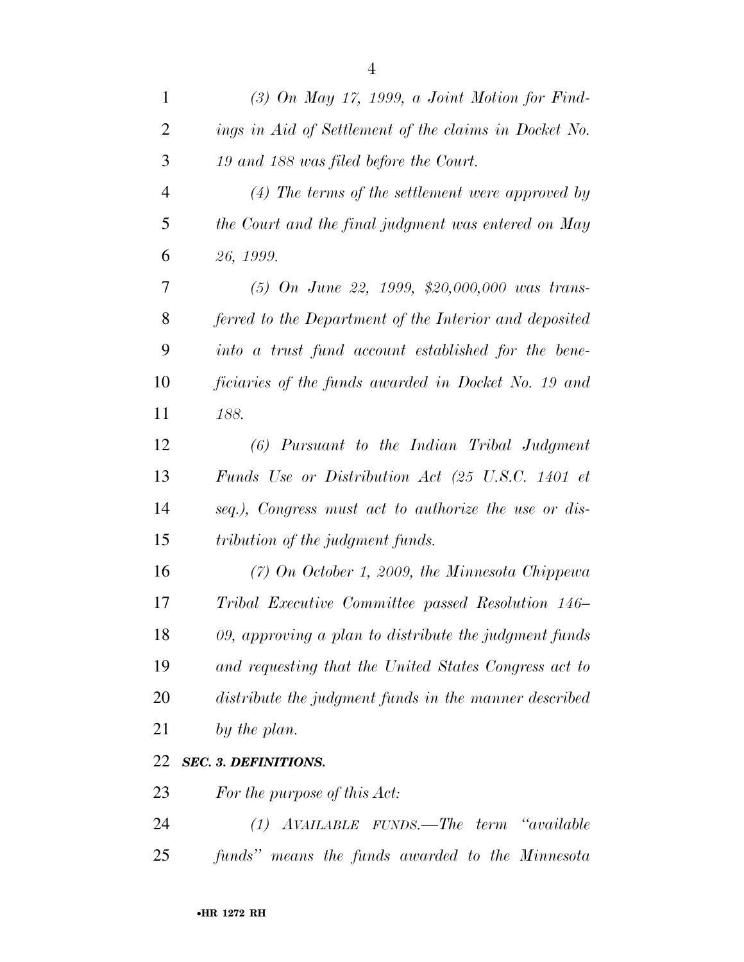| $\mathbf{1}$   | $(3)$ On May 17, 1999, a Joint Motion for Find-        |
|----------------|--------------------------------------------------------|
| 2              | ings in Aid of Settlement of the claims in Docket No.  |
| 3              | 19 and 188 was filed before the Court.                 |
| $\overline{4}$ | $(4)$ The terms of the settlement were approved by     |
| 5              | the Court and the final judgment was entered on May    |
| 6              | 26, 1999.                                              |
| 7              | $(5)$ On June 22, 1999, \$20,000,000 was trans-        |
| 8              | ferred to the Department of the Interior and deposited |
| 9              | into a trust fund account established for the bene-    |
| 10             | ficiaries of the funds awarded in Docket No. 19 and    |
| 11             | 188.                                                   |
| 12             | $(6)$ Pursuant to the Indian Tribal Judgment           |
| 13             | Funds Use or Distribution Act (25 U.S.C. 1401 et       |
| 14             | seq.), Congress must act to authorize the use or dis-  |
| 15             | tribution of the judgment funds.                       |
| 16             | $(7)$ On October 1, 2009, the Minnesota Chippewa       |
| 17             | Tribal Executive Committee passed Resolution 146-      |
| 18             | 09, approving a plan to distribute the judgment funds  |
| 19             | and requesting that the United States Congress act to  |
| 20             | distribute the judgment funds in the manner described  |
| 21             | by the plan.                                           |
| 22             | <b>SEC. 3. DEFINITIONS.</b>                            |
| 23             | For the purpose of this Act:                           |
| 24             | (1) AVAILABLE FUNDS.—The term "available               |
| 25             | funds" means the funds awarded to the Minnesota        |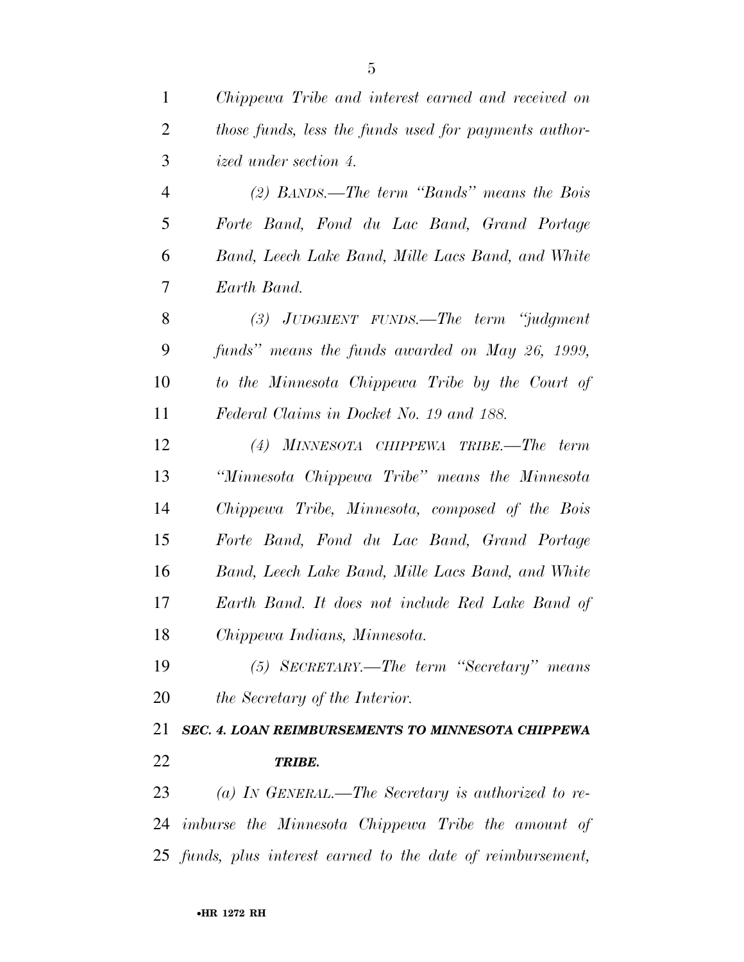| $\mathbf{1}$   | Chippewa Tribe and interest earned and received on           |
|----------------|--------------------------------------------------------------|
| $\overline{2}$ | those funds, less the funds used for payments author-        |
| 3              | ized under section 4.                                        |
| $\overline{4}$ | (2) BANDS.—The term "Bands" means the Bois                   |
| 5              | Forte Band, Fond du Lac Band, Grand Portage                  |
| 6              | Band, Leech Lake Band, Mille Lacs Band, and White            |
| 7              | Earth Band.                                                  |
| 8              | $(3)$ JUDGMENT FUNDS.—The term "judgment"                    |
| 9              | funds" means the funds awarded on May 26, 1999,              |
| 10             | to the Minnesota Chippewa Tribe by the Court of              |
| 11             | Federal Claims in Docket No. 19 and 188.                     |
| 12             | $(4)$ MINNESOTA CHIPPEWA TRIBE.—The term                     |
| 13             | "Minnesota Chippewa Tribe" means the Minnesota               |
| 14             | Chippewa Tribe, Minnesota, composed of the Bois              |
| 15             | Forte Band, Fond du Lac Band, Grand Portage                  |
| 16             | Band, Leech Lake Band, Mille Lacs Band, and White            |
| 17             | Earth Band. It does not include Red Lake Band of             |
| 18             | Chippewa Indians, Minnesota.                                 |
| 19             | (5) SECRETARY.—The term "Secretary" means                    |
| 20             | the Secretary of the Interior.                               |
| 21             | SEC. 4. LOAN REIMBURSEMENTS TO MINNESOTA CHIPPEWA            |
| 22             | <b>TRIBE.</b>                                                |
| 23             | (a) IN GENERAL.—The Secretary is authorized to re-           |
|                | 24 imburse the Minnesota Chippewa Tribe the amount of        |
|                | 25 funds, plus interest earned to the date of reimbursement, |
|                |                                                              |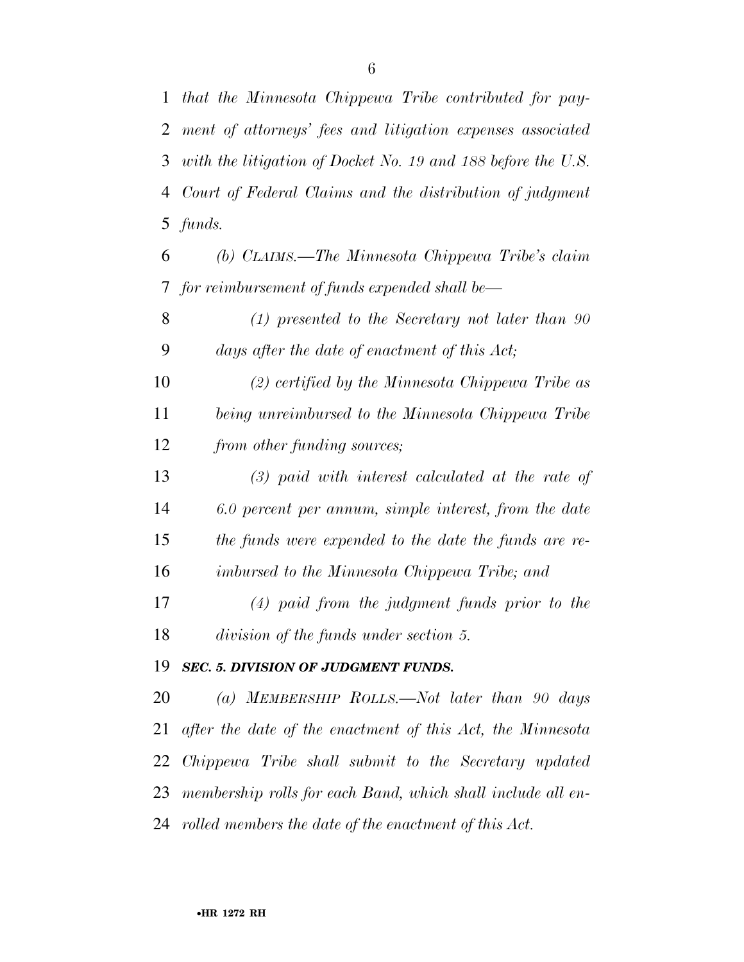*that the Minnesota Chippewa Tribe contributed for pay- ment of attorneys' fees and litigation expenses associated with the litigation of Docket No. 19 and 188 before the U.S. Court of Federal Claims and the distribution of judgment funds.* 

 *(b) CLAIMS.—The Minnesota Chippewa Tribe's claim for reimbursement of funds expended shall be—* 

 *(1) presented to the Secretary not later than 90 days after the date of enactment of this Act;* 

 *(2) certified by the Minnesota Chippewa Tribe as being unreimbursed to the Minnesota Chippewa Tribe from other funding sources;* 

 *(3) paid with interest calculated at the rate of 6.0 percent per annum, simple interest, from the date the funds were expended to the date the funds are re-imbursed to the Minnesota Chippewa Tribe; and* 

 *(4) paid from the judgment funds prior to the division of the funds under section 5.* 

#### *SEC. 5. DIVISION OF JUDGMENT FUNDS.*

 *(a) MEMBERSHIP ROLLS.—Not later than 90 days after the date of the enactment of this Act, the Minnesota Chippewa Tribe shall submit to the Secretary updated membership rolls for each Band, which shall include all en-rolled members the date of the enactment of this Act.*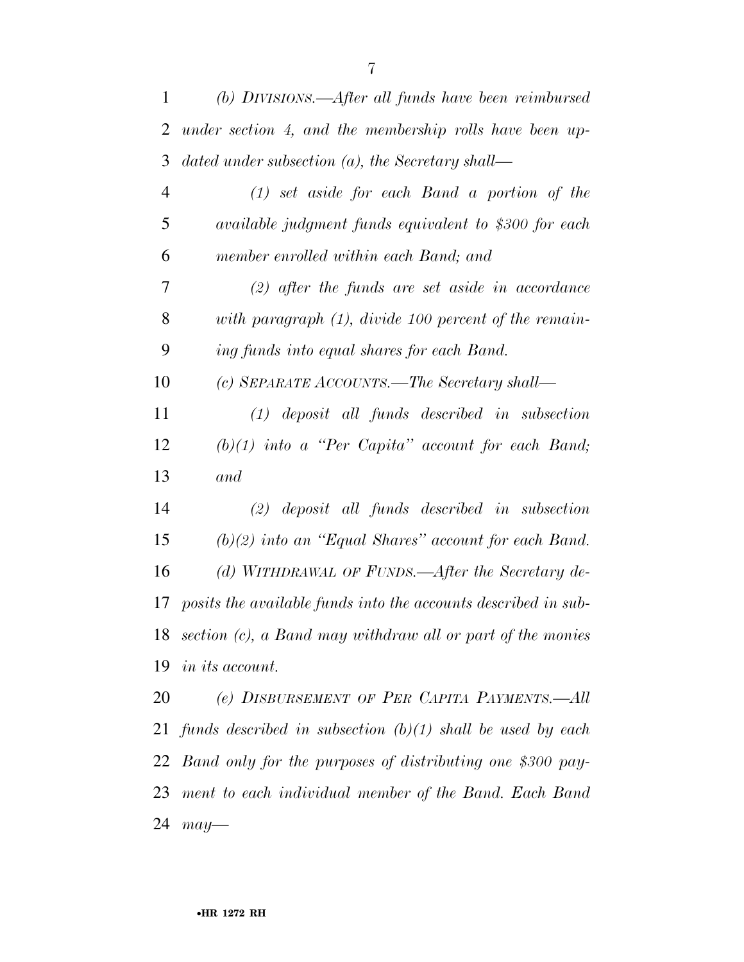| 1              | (b) DIVISIONS.—After all funds have been reimbursed             |
|----------------|-----------------------------------------------------------------|
| 2              | under section 4, and the membership rolls have been up-         |
| 3              | dated under subsection $(a)$ , the Secretary shall—             |
| $\overline{4}$ | $(1)$ set aside for each Band a portion of the                  |
| 5              | available judgment funds equivalent to \$300 for each           |
| 6              | member enrolled within each Band; and                           |
| 7              | $(2)$ after the funds are set aside in accordance               |
| 8              | with paragraph $(1)$ , divide 100 percent of the remain-        |
| 9              | ing funds into equal shares for each Band.                      |
| 10             | (c) SEPARATE ACCOUNTS.—The Secretary shall—                     |
| 11             | $(1)$ deposit all funds described in subsection                 |
| 12             | $(b)(1)$ into a "Per Capita" account for each Band;             |
| 13             | and                                                             |
| 14             | $(2)$ deposit all funds described in subsection                 |
| 15             | $(b)(2)$ into an "Equal Shares" account for each Band.          |
| 16             | (d) WITHDRAWAL OF FUNDS.—After the Secretary de-                |
| 17             | posits the available funds into the accounts described in sub-  |
| 18             | section (c), a Band may withdraw all or part of the monies      |
| 19             | <i>in its account.</i>                                          |
| 20             | (e) DISBURSEMENT OF PER CAPITA PAYMENTS.—All                    |
|                | 21 funds described in subsection $(b)(1)$ shall be used by each |
| 22             | Band only for the purposes of distributing one \$300 pay-       |
| 23             | ment to each individual member of the Band. Each Band           |
| 24             | $may-$                                                          |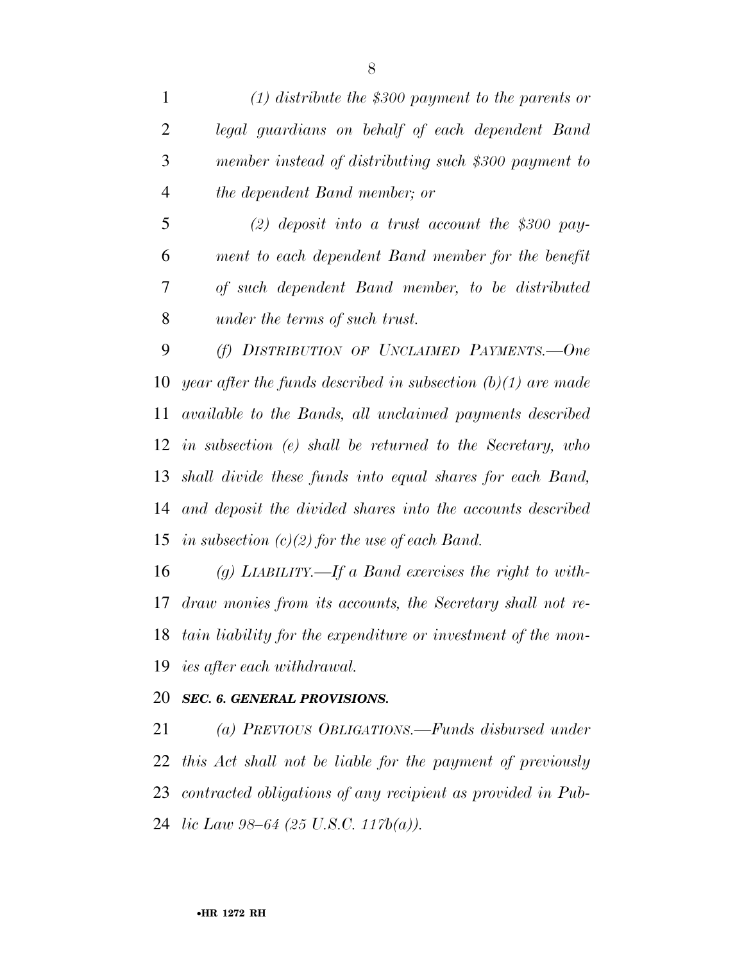*(1) distribute the \$300 payment to the parents or legal guardians on behalf of each dependent Band member instead of distributing such \$300 payment to the dependent Band member; or* 

 *(2) deposit into a trust account the \$300 pay- ment to each dependent Band member for the benefit of such dependent Band member, to be distributed under the terms of such trust.* 

 *(f) DISTRIBUTION OF UNCLAIMED PAYMENTS.—One year after the funds described in subsection (b)(1) are made available to the Bands, all unclaimed payments described in subsection (e) shall be returned to the Secretary, who shall divide these funds into equal shares for each Band, and deposit the divided shares into the accounts described in subsection (c)(2) for the use of each Band.* 

 *(g) LIABILITY.—If a Band exercises the right to with- draw monies from its accounts, the Secretary shall not re- tain liability for the expenditure or investment of the mon-ies after each withdrawal.* 

#### *SEC. 6. GENERAL PROVISIONS.*

 *(a) PREVIOUS OBLIGATIONS.—Funds disbursed under this Act shall not be liable for the payment of previously contracted obligations of any recipient as provided in Pub-lic Law 98–64 (25 U.S.C. 117b(a)).*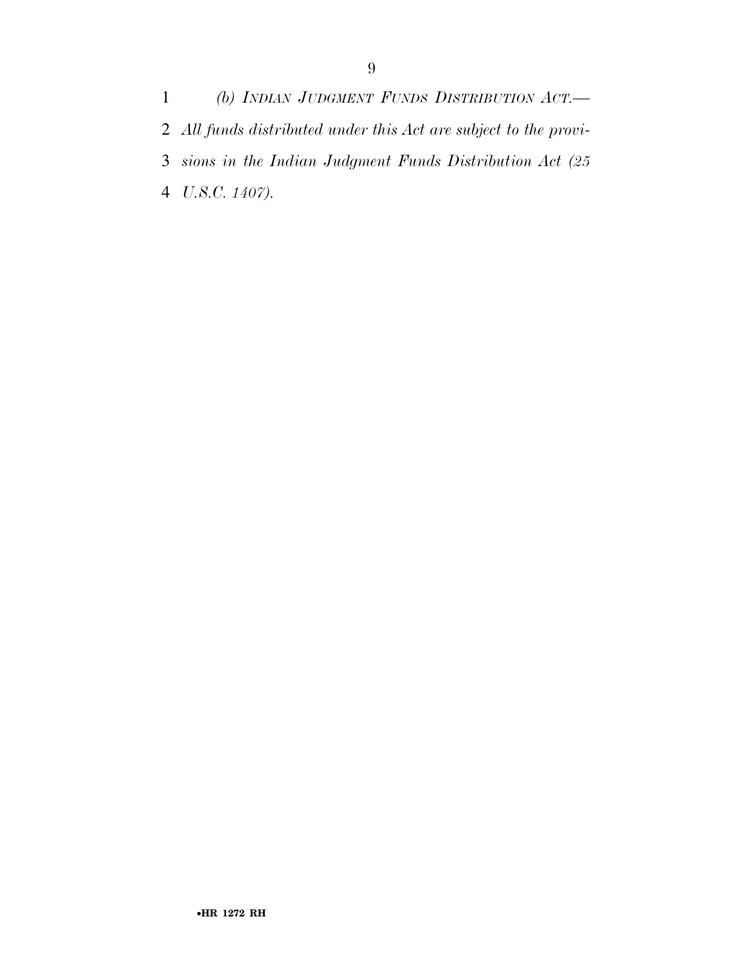*(b) INDIAN JUDGMENT FUNDS DISTRIBUTION ACT.— All funds distributed under this Act are subject to the provi- sions in the Indian Judgment Funds Distribution Act (25 U.S.C. 1407).*